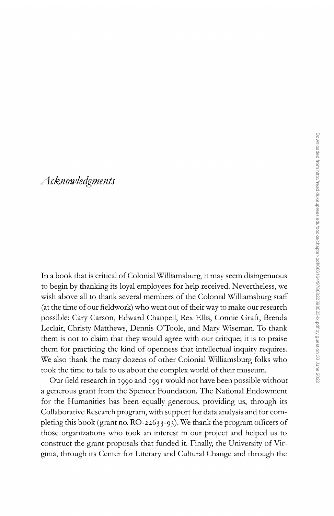## *Acknowledgments*

In a book that is critical of Colonial Williamsburg, it may seem disingenuous to begin by thanking its loyal employees for help received. Nevertheless, we wish above all to thank several members of the Colonial Williamsburg staff (at the time of our fieldwork) who went out of their way to make our research possible: Cary Carson, Edward Chappell, Rex Ellis, Connie Graft, Brenda Leclair, Christy Matthews, Dennis O'Toole, and Mary Wiseman. To thank them is not to claim that they would agree with our critique; it is to praise them for practicing the kind of openness that intellectual inquiry requires. We also thank the many dozens of other Colonial Williamsburg folks who took the time to talk to us about the complex world of their museum.

Our field research in 1990 and 199 I would not have been possible without a generous grant from the Spencer Foundation. The National Endowment for the Humanities has been equally generous, providing us, through its Collaborative Research program, with support for data analysis and for completing this book (grant no.  $RO-22633-93$ ). We thank the program officers of those organizations who took an interest in our project and helped us to construct the grant proposals that funded it. Finally, the University of Virginia, through its Center for Literary and Cultural Change and through the